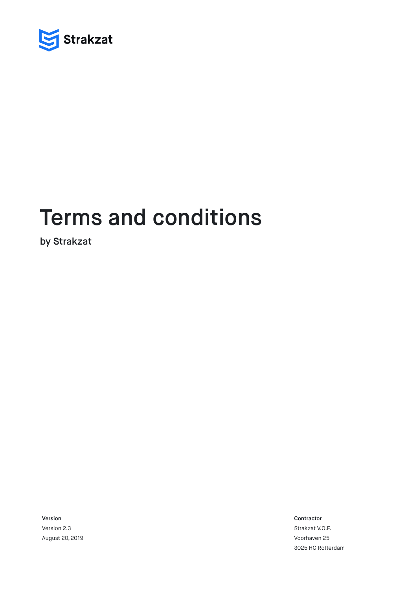

# Terms and conditions

by Strakzat

Version Version 2.3

August 20, 2019

Contractor

Strakzat V.O.F. Voorhaven 25 3025 HC Rotterdam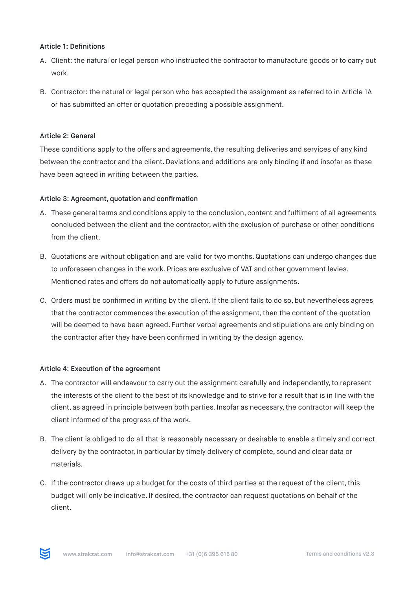#### Article 1: Definitions

- A. Client: the natural or legal person who instructed the contractor to manufacture goods or to carry out work.
- B. Contractor: the natural or legal person who has accepted the assignment as referred to in Article 1A or has submitted an offer or quotation preceding a possible assignment.

## Article 2: General

These conditions apply to the offers and agreements, the resulting deliveries and services of any kind between the contractor and the client. Deviations and additions are only binding if and insofar as these have been agreed in writing between the parties.

## Article 3: Agreement, quotation and confirmation

- A. These general terms and conditions apply to the conclusion, content and fulfilment of all agreements concluded between the client and the contractor, with the exclusion of purchase or other conditions from the client.
- B. Quotations are without obligation and are valid for two months. Quotations can undergo changes due to unforeseen changes in the work. Prices are exclusive of VAT and other government levies. Mentioned rates and offers do not automatically apply to future assignments.
- C. Orders must be confirmed in writing by the client. If the client fails to do so, but nevertheless agrees that the contractor commences the execution of the assignment, then the content of the quotation will be deemed to have been agreed. Further verbal agreements and stipulations are only binding on the contractor after they have been confirmed in writing by the design agency.

#### Article 4: Execution of the agreement

- A. The contractor will endeavour to carry out the assignment carefully and independently, to represent the interests of the client to the best of its knowledge and to strive for a result that is in line with the client, as agreed in principle between both parties. Insofar as necessary, the contractor will keep the client informed of the progress of the work.
- B. The client is obliged to do all that is reasonably necessary or desirable to enable a timely and correct delivery by the contractor, in particular by timely delivery of complete, sound and clear data or materials.
- C. If the contractor draws up a budget for the costs of third parties at the request of the client, this budget will only be indicative. If desired, the contractor can request quotations on behalf of the client.

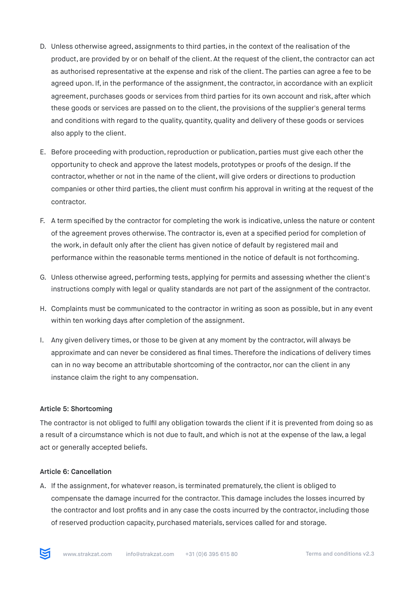- D. Unless otherwise agreed, assignments to third parties, in the context of the realisation of the product, are provided by or on behalf of the client. At the request of the client, the contractor can act as authorised representative at the expense and risk of the client. The parties can agree a fee to be agreed upon. If, in the performance of the assignment, the contractor, in accordance with an explicit agreement, purchases goods or services from third parties for its own account and risk, after which these goods or services are passed on to the client, the provisions of the supplier's general terms and conditions with regard to the quality, quantity, quality and delivery of these goods or services also apply to the client.
- E. Before proceeding with production, reproduction or publication, parties must give each other the opportunity to check and approve the latest models, prototypes or proofs of the design. If the contractor, whether or not in the name of the client, will give orders or directions to production companies or other third parties, the client must confirm his approval in writing at the request of the contractor.
- F. A term specified by the contractor for completing the work is indicative, unless the nature or content of the agreement proves otherwise. The contractor is, even at a specified period for completion of the work, in default only after the client has given notice of default by registered mail and performance within the reasonable terms mentioned in the notice of default is not forthcoming.
- G. Unless otherwise agreed, performing tests, applying for permits and assessing whether the client's instructions comply with legal or quality standards are not part of the assignment of the contractor.
- H. Complaints must be communicated to the contractor in writing as soon as possible, but in any event within ten working days after completion of the assignment.
- I. Any given delivery times, or those to be given at any moment by the contractor, will always be approximate and can never be considered as final times. Therefore the indications of delivery times can in no way become an attributable shortcoming of the contractor, nor can the client in any instance claim the right to any compensation.

# Article 5: Shortcoming

The contractor is not obliged to fulfil any obligation towards the client if it is prevented from doing so as a result of a circumstance which is not due to fault, and which is not at the expense of the law, a legal act or generally accepted beliefs.

#### Article 6: Cancellation

A. If the assignment, for whatever reason, is terminated prematurely, the client is obliged to compensate the damage incurred for the contractor. This damage includes the losses incurred by the contractor and lost profits and in any case the costs incurred by the contractor, including those of reserved production capacity, purchased materials, services called for and storage.

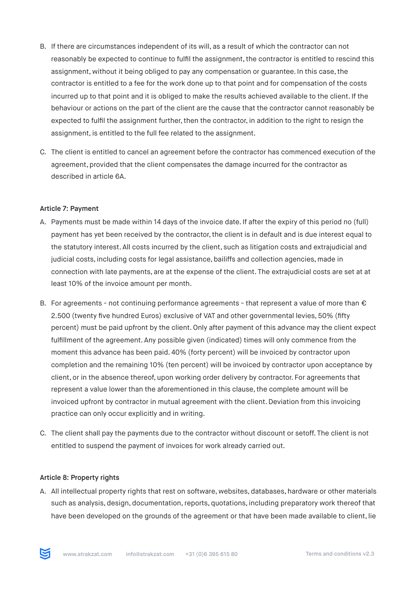- B. If there are circumstances independent of its will, as a result of which the contractor can not reasonably be expected to continue to fulfil the assignment, the contractor is entitled to rescind this assignment, without it being obliged to pay any compensation or guarantee. In this case, the contractor is entitled to a fee for the work done up to that point and for compensation of the costs incurred up to that point and it is obliged to make the results achieved available to the client. If the behaviour or actions on the part of the client are the cause that the contractor cannot reasonably be expected to fulfil the assignment further, then the contractor, in addition to the right to resign the assignment, is entitled to the full fee related to the assignment.
- C. The client is entitled to cancel an agreement before the contractor has commenced execution of the agreement, provided that the client compensates the damage incurred for the contractor as described in article 6A.

#### Article 7: Payment

- A. Payments must be made within 14 days of the invoice date. If after the expiry of this period no (full) payment has yet been received by the contractor, the client is in default and is due interest equal to the statutory interest. All costs incurred by the client, such as litigation costs and extrajudicial and judicial costs, including costs for legal assistance, bailiffs and collection agencies, made in connection with late payments, are at the expense of the client. The extrajudicial costs are set at at least 10% of the invoice amount per month.
- B. For agreements not continuing performance agreements that represent a value of more than  $\epsilon$ 2.500 (twenty five hundred Euros) exclusive of VAT and other governmental levies, 50% (fifty percent) must be paid upfront by the client. Only after payment of this advance may the client expect fulfillment of the agreement. Any possible given (indicated) times will only commence from the moment this advance has been paid. 40% (forty percent) will be invoiced by contractor upon completion and the remaining 10% (ten percent) will be invoiced by contractor upon acceptance by client, or in the absence thereof, upon working order delivery by contractor. For agreements that represent a value lower than the aforementioned in this clause, the complete amount will be invoiced upfront by contractor in mutual agreement with the client. Deviation from this invoicing practice can only occur explicitly and in writing.
- C. The client shall pay the payments due to the contractor without discount or setoff. The client is not entitled to suspend the payment of invoices for work already carried out.

#### Article 8: Property rights

A. All intellectual property rights that rest on software, websites, databases, hardware or other materials such as analysis, design, documentation, reports, quotations, including preparatory work thereof that have been developed on the grounds of the agreement or that have been made available to client, lie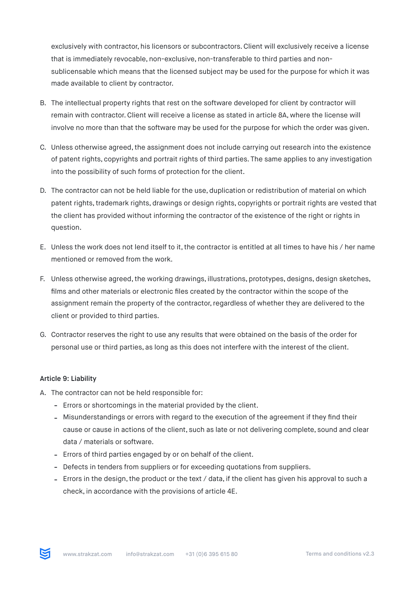exclusively with contractor, his licensors or subcontractors. Client will exclusively receive a license that is immediately revocable, non-exclusive, non-transferable to third parties and nonsublicensable which means that the licensed subject may be used for the purpose for which it was made available to client by contractor.

- B. The intellectual property rights that rest on the software developed for client by contractor will remain with contractor. Client will receive a license as stated in article 8A, where the license will involve no more than that the software may be used for the purpose for which the order was given.
- C. Unless otherwise agreed, the assignment does not include carrying out research into the existence of patent rights, copyrights and portrait rights of third parties. The same applies to any investigation into the possibility of such forms of protection for the client.
- D. The contractor can not be held liable for the use, duplication or redistribution of material on which patent rights, trademark rights, drawings or design rights, copyrights or portrait rights are vested that the client has provided without informing the contractor of the existence of the right or rights in question.
- E. Unless the work does not lend itself to it, the contractor is entitled at all times to have his / her name mentioned or removed from the work.
- F. Unless otherwise agreed, the working drawings, illustrations, prototypes, designs, design sketches, films and other materials or electronic files created by the contractor within the scope of the assignment remain the property of the contractor, regardless of whether they are delivered to the client or provided to third parties.
- G. Contractor reserves the right to use any results that were obtained on the basis of the order for personal use or third parties, as long as this does not interfere with the interest of the client.

# Article 9: Liability

- A. The contractor can not be held responsible for:
	- Errors or shortcomings in the material provided by the client.
	- Misunderstandings or errors with regard to the execution of the agreement if they find their cause or cause in actions of the client, such as late or not delivering complete, sound and clear data / materials or software.
	- Errors of third parties engaged by or on behalf of the client.
	- Defects in tenders from suppliers or for exceeding quotations from suppliers.
	- Errors in the design, the product or the text / data, if the client has given his approval to such a check, in accordance with the provisions of article 4E.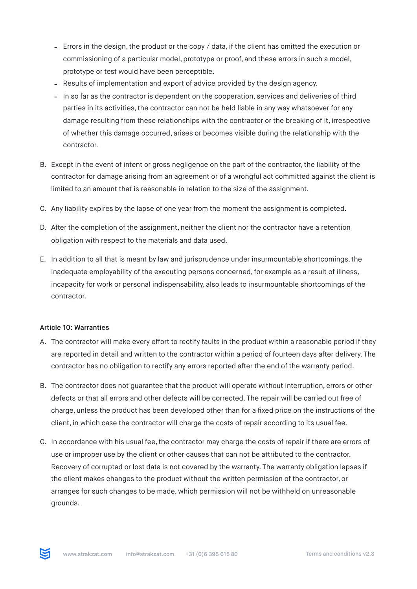- Errors in the design, the product or the copy / data, if the client has omitted the execution or commissioning of a particular model, prototype or proof, and these errors in such a model, prototype or test would have been perceptible.
- Results of implementation and export of advice provided by the design agency.
- In so far as the contractor is dependent on the cooperation, services and deliveries of third parties in its activities, the contractor can not be held liable in any way whatsoever for any damage resulting from these relationships with the contractor or the breaking of it, irrespective of whether this damage occurred, arises or becomes visible during the relationship with the contractor.
- B. Except in the event of intent or gross negligence on the part of the contractor, the liability of the contractor for damage arising from an agreement or of a wrongful act committed against the client is limited to an amount that is reasonable in relation to the size of the assignment.
- C. Any liability expires by the lapse of one year from the moment the assignment is completed.
- D. After the completion of the assignment, neither the client nor the contractor have a retention obligation with respect to the materials and data used.
- E. In addition to all that is meant by law and jurisprudence under insurmountable shortcomings, the inadequate employability of the executing persons concerned, for example as a result of illness, incapacity for work or personal indispensability, also leads to insurmountable shortcomings of the contractor.

# Article 10: Warranties

- A. The contractor will make every effort to rectify faults in the product within a reasonable period if they are reported in detail and written to the contractor within a period of fourteen days after delivery. The contractor has no obligation to rectify any errors reported after the end of the warranty period.
- B. The contractor does not guarantee that the product will operate without interruption, errors or other defects or that all errors and other defects will be corrected. The repair will be carried out free of charge, unless the product has been developed other than for a fixed price on the instructions of the client, in which case the contractor will charge the costs of repair according to its usual fee.
- C. In accordance with his usual fee, the contractor may charge the costs of repair if there are errors of use or improper use by the client or other causes that can not be attributed to the contractor. Recovery of corrupted or lost data is not covered by the warranty. The warranty obligation lapses if the client makes changes to the product without the written permission of the contractor, or arranges for such changes to be made, which permission will not be withheld on unreasonable grounds.